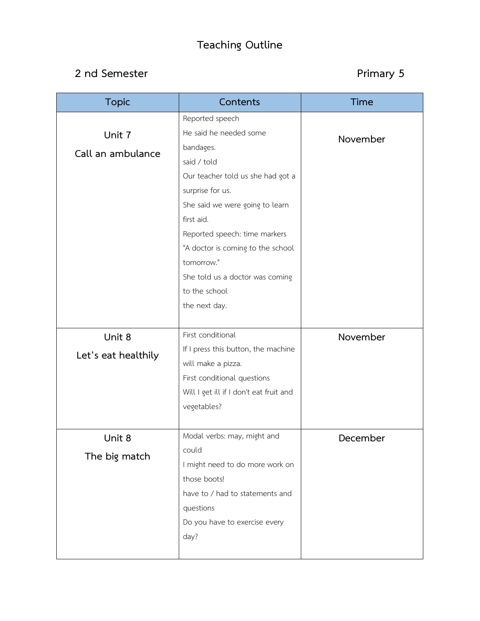## **Teaching Outline**

## **2 nd Semester Primary 5**

| <b>Topic</b>        | Contents                                | <b>Time</b> |
|---------------------|-----------------------------------------|-------------|
|                     | Reported speech                         |             |
| Unit 7              | He said he needed some                  | November    |
| Call an ambulance   | bandages.                               |             |
|                     | said / told                             |             |
|                     | Our teacher told us she had got a       |             |
|                     | surprise for us.                        |             |
|                     | She said we were going to learn         |             |
|                     | first aid.                              |             |
|                     | Reported speech: time markers           |             |
|                     | "A doctor is coming to the school       |             |
|                     | tomorrow."                              |             |
|                     | She told us a doctor was coming         |             |
|                     | to the school                           |             |
|                     | the next day.                           |             |
|                     |                                         |             |
| Unit 8              | First conditional                       | November    |
| Let's eat healthily | If I press this button, the machine     |             |
|                     | will make a pizza.                      |             |
|                     | First conditional questions             |             |
|                     | Will I get ill if I don't eat fruit and |             |
|                     | vegetables?                             |             |
|                     |                                         |             |
| Unit 8              | Modal verbs: may, might and             | December    |
| The big match       | could                                   |             |
|                     | I might need to do more work on         |             |
|                     | those boots!                            |             |
|                     | have to / had to statements and         |             |
|                     | questions                               |             |
|                     | Do you have to exercise every           |             |
|                     | day?                                    |             |
|                     |                                         |             |